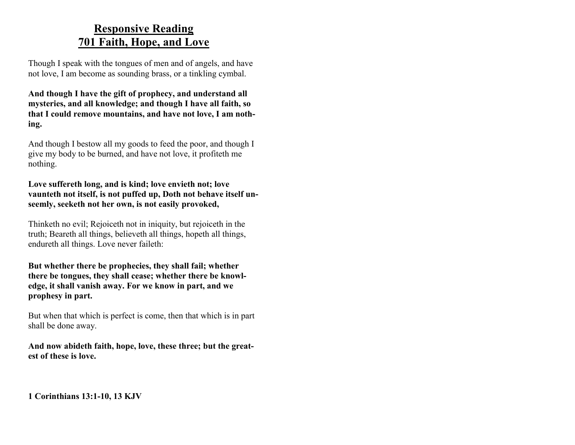### **Responsive Reading 701 Faith, Hope, and Love**

Though I speak with the tongues of men and of angels, and have not love, I am become as sounding brass, or a tinkling cymbal.

**And though I have the gift of prophecy, and understand all mysteries, and all knowledge; and though I have all faith, so that I could remove mountains, and have not love, I am nothing.**

And though I bestow all my goods to feed the poor, and though I give my body to be burned, and have not love, it profiteth me nothing.

**Love suffereth long, and is kind; love envieth not; love vaunteth not itself, is not puffed up, Doth not behave itself unseemly, seeketh not her own, is not easily provoked,**

Thinketh no evil; Rejoiceth not in iniquity, but rejoiceth in the truth; Beareth all things, believeth all things, hopeth all things, endureth all things. Love never faileth:

**But whether there be prophecies, they shall fail; whether there be tongues, they shall cease; whether there be knowledge, it shall vanish away. For we know in part, and we prophesy in part.**

But when that which is perfect is come, then that which is in part shall be done away.

**And now abideth faith, hope, love, these three; but the greatest of these is love.**

**1 Corinthians 13:1-10, 13 KJV**